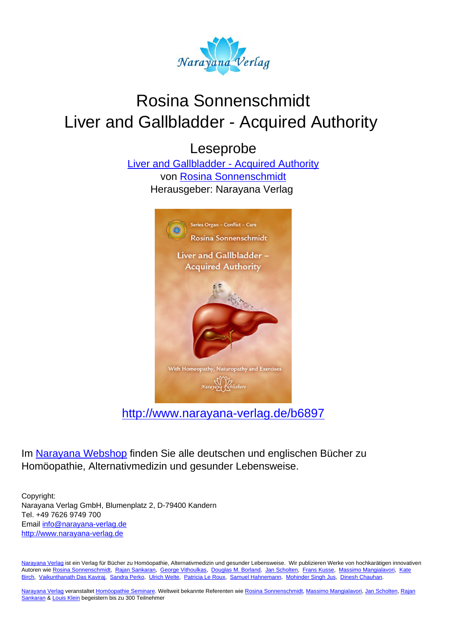

# Rosina Sonnenschmidt Liver and Gallbladder - Acquired Authority

Leseprobe

[Liver and Gallbladder - Acquired Authority](http://www.narayana-verlag.de/Liver-and-Gallbladder-Acquired-Authority-Rosina-Sonnenschmidt/b6897/partner/leseprobe) von [Rosina Sonnenschmidt](http://www.narayana-verlag.de/Rosina-Sonnenschmidt/a835/partner/leseprobe) Herausgeber: Narayana Verlag



[http://www.narayana-verlag.de/b6897](http://www.narayana-verlag.de/Liver-and-Gallbladder-Acquired-Authority-Rosina-Sonnenschmidt/b6897/partner/leseprobe)

Im [Narayana Webshop](http://www.narayana-verlag.de/partner/leseprobe) finden Sie alle deutschen und englischen Bücher zu Homöopathie, Alternativmedizin und gesunder Lebensweise.

Copyright: Narayana Verlag GmbH, Blumenplatz 2, D-79400 Kandern Tel. +49 7626 9749 700 Email [info@narayana-verlag.de](mailto:info@narayana-verlag.de) [http://www.narayana-verlag.de](http://www.narayana-verlag.de/partner/leseprobe)

[Narayana Verlag](http://www.narayana-verlag.de/partner/leseprobe) ist ein Verlag für Bücher zu Homöopathie, Alternativmedizin und gesunder Lebensweise. Wir publizieren Werke von hochkarätigen innovativen Autoren wie [Rosina Sonnenschmidt,](http://www.narayana-verlag.de/Rosina-Sonnenschmidt/a835/partner/leseprobe) [Rajan Sankaran,](http://www.narayana-verlag.de/Rajan-Sankaran/a747/partner/leseprobe) [George Vithoulkas](http://www.narayana-verlag.de/George-Vithoulkas/a917/partner/leseprobe), [Douglas M. Borland](http://www.narayana-verlag.de/Douglas-M-Borland/a86/partner/leseprobe), [Jan Scholten,](http://www.narayana-verlag.de/Jan-Scholten/a777/partner/leseprobe) [Frans Kusse](http://www.narayana-verlag.de/Frans-Kusse/a1305/partner/leseprobe), [Massimo Mangialavori](http://www.narayana-verlag.de/Massimo-Mangialavori/a538/partner/leseprobe), [Kate](http://www.narayana-verlag.de/Kate-Birch/a1439/partner/leseprobe) [Birch,](http://www.narayana-verlag.de/Kate-Birch/a1439/partner/leseprobe) [Vaikunthanath Das Kaviraj](http://www.narayana-verlag.de/Vaikunthanath-Das-Kaviraj/a1476/partner/leseprobe), [Sandra Perko,](http://www.narayana-verlag.de/Sandra-Perko/a642/partner/leseprobe) [Ulrich Welte](http://www.narayana-verlag.de/Ulrich-Welte/a935/partner/leseprobe), [Patricia Le Roux](http://www.narayana-verlag.de/Patricia-Le-Roux/a1230/partner/leseprobe), [Samuel Hahnemann](http://www.narayana-verlag.de/Samuel-Hahnemann/a329/partner/leseprobe), [Mohinder Singh Jus](http://www.narayana-verlag.de/Mohinder-Singh-Jus/a417/partner/leseprobe), [Dinesh Chauhan.](http://www.narayana-verlag.de/Dinesh-Chauhan/a123/partner/leseprobe)

[Narayana Verlag](http://www.narayana-verlag.de/partner/leseprobe) veranstaltet [Homöopathie Seminare](http://www.narayana-verlag.de/Seminare/c162/partner/leseprobe). Weltweit bekannte Referenten wie [Rosina Sonnenschmidt](http://www.narayana-verlag.de/Rosina-Sonnenschmidt/a835/partner/leseprobe), [Massimo Mangialavori](http://www.narayana-verlag.de/Massimo-Mangialavori/a538/partner/leseprobe), [Jan Scholten](http://www.narayana-verlag.de/Jan-Scholten/a777/partner/leseprobe), [Rajan](http://www.narayana-verlag.de/Rajan-Sankaran/a747/partner/leseprobe) [Sankaran](http://www.narayana-verlag.de/Rajan-Sankaran/a747/partner/leseprobe) & [Louis Klein](http://www.narayana-verlag.de/Louis-Klein/a450/partner/leseprobe) begeistern bis zu 300 Teilnehmer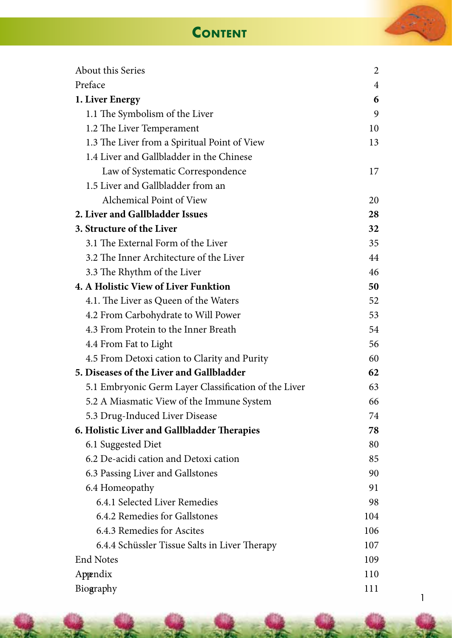## **Content**

| About this Series                                    | 2              |
|------------------------------------------------------|----------------|
| Preface                                              | $\overline{4}$ |
| 1. Liver Energy                                      | 6              |
| 1.1 The Symbolism of the Liver                       | 9              |
| 1.2 The Liver Temperament                            | 10             |
| 1.3 The Liver from a Spiritual Point of View         | 13             |
| 1.4 Liver and Gallbladder in the Chinese             |                |
| Law of Systematic Correspondence                     | 17             |
| 1.5 Liver and Gallbladder from an                    |                |
| Alchemical Point of View                             | 20             |
| 2. Liver and Gallbladder Issues                      | 28             |
| 3. Structure of the Liver                            | 32             |
| 3.1 The External Form of the Liver                   | 35             |
| 3.2 The Inner Architecture of the Liver              | 44             |
| 3.3 The Rhythm of the Liver                          | 46             |
| 4. A Holistic View of Liver Funktion                 | 50             |
| 4.1. The Liver as Queen of the Waters                | 52             |
| 4.2 From Carbohydrate to Will Power                  | 53             |
| 4.3 From Protein to the Inner Breath                 | 54             |
| 4.4 From Fat to Light                                | 56             |
| 4.5 From Detoxi cation to Clarity and Purity         | 60             |
| 5. Diseases of the Liver and Gallbladder             | 62             |
| 5.1 Embryonic Germ Layer Classification of the Liver | 63             |
| 5.2 A Miasmatic View of the Immune System            | 66             |
| 5.3 Drug-Induced Liver Disease                       | 74             |
| 6. Holistic Liver and Gallbladder Therapies          | 78             |
| 6.1 Suggested Diet                                   | 80             |
| 6.2 De-acidi cation and Detoxi cation                | 85             |
| 6.3 Passing Liver and Gallstones                     | 90             |
| 6.4 Homeopathy                                       | 91             |
| 6.4.1 Selected Liver Remedies                        | 98             |
| 6.4.2 Remedies for Gallstones                        | 104            |
| 6.4.3 Remedies for Ascites                           | 106            |
| 6.4.4 Schüssler Tissue Salts in Liver Therapy        | 107            |
| <b>End Notes</b>                                     | 109            |
| Appendix                                             | 110            |
| Biography                                            | 111            |

 $\sim$   $\sim$   $\sim$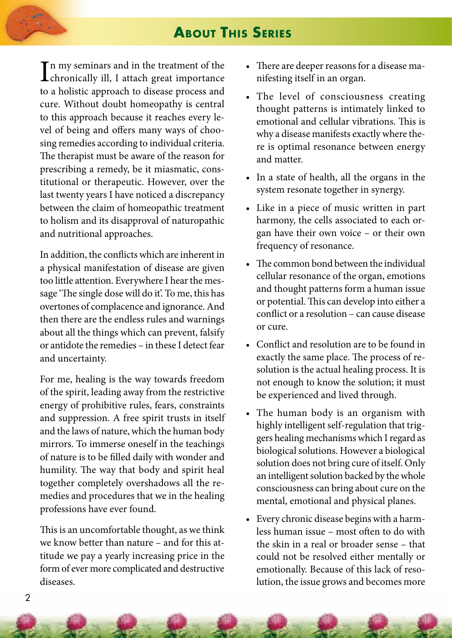## **About This Series**

 $\prod$ n my seminars and in the treatment of the<br>chronically ill, I attach great importance In my seminars and in the treatment of the to a holistic approach to disease process and cure. Without doubt homeopathy is central to this approach because it reaches every level of being and offers many ways of choosing remedies according to individual criteria. The therapist must be aware of the reason for prescribing a remedy, be it miasmatic, constitutional or therapeutic. However, over the last twenty years I have noticed a discrepancy between the claim of homeopathic treatment to holism and its disapproval of naturopathic and nutritional approaches.

In addition, the conflicts which are inherent in a physical manifestation of disease are given too little attention. Everywhere I hear the message 'The single dose will do it'. To me, this has overtones of complacence and ignorance. And then there are the endless rules and warnings about all the things which can prevent, falsify or antidote the remedies – in these I detect fear and uncertainty.

For me, healing is the way towards freedom of the spirit, leading away from the restrictive energy of prohibitive rules, fears, constraints and suppression. A free spirit trusts in itself and the laws of nature, which the human body mirrors. To immerse oneself in the teachings of nature is to be filled daily with wonder and humility. The way that body and spirit heal together completely overshadows all the remedies and procedures that we in the healing professions have ever found.

This is an uncomfortable thought, as we think we know better than nature – and for this attitude we pay a yearly increasing price in the form of ever more complicated and destructive diseases.

- There are deeper reasons for a disease manifesting itself in an organ.
- The level of consciousness creating thought patterns is intimately linked to emotional and cellular vibrations. This is why a disease manifests exactly where there is optimal resonance between energy and matter.
- In a state of health, all the organs in the system resonate together in synergy.
- Like in a piece of music written in part harmony, the cells associated to each organ have their own voice – or their own frequency of resonance.
- The common bond between the individual cellular resonance of the organ, emotions and thought patterns form a human issue or potential. This can develop into either a conflict or a resolution – can cause disease or cure.
- Conflict and resolution are to be found in exactly the same place. The process of resolution is the actual healing process. It is not enough to know the solution; it must be experienced and lived through.
- The human body is an organism with highly intelligent self-regulation that triggers healing mechanisms which I regard as biological solutions. However a biological solution does not bring cure of itself. Only an intelligent solution backed by the whole consciousness can bring about cure on the mental, emotional and physical planes.
- Every chronic disease begins with a harmless human issue – most often to do with the skin in a real or broader sense – that could not be resolved either mentally or emotionally. Because of this lack of resolution, the issue grows and becomes more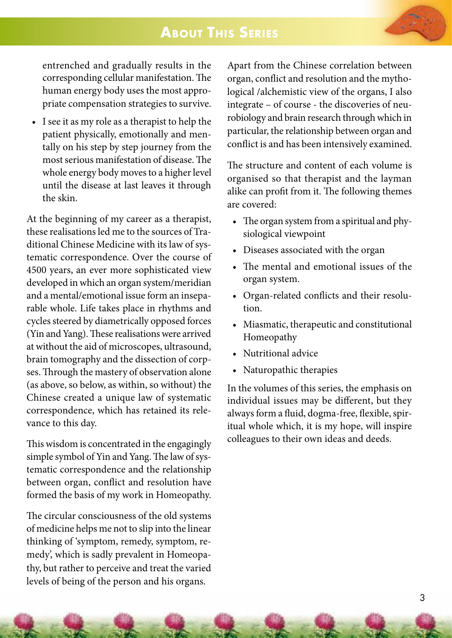### **About This Series**

entrenched and gradually results in the corresponding cellular manifestation. The human energy body uses the most appropriate compensation strategies to survive.

• I see it as my role as a therapist to help the patient physically, emotionally and mentally on his step by step journey from the most serious manifestation of disease. The whole energy body moves to a higher level until the disease at last leaves it through the skin.

At the beginning of my career as a therapist, these realisations led me to the sources of Traditional Chinese Medicine with its law of systematic correspondence. Over the course of 4500 years, an ever more sophisticated view developed in which an organ system/meridian and a mental/emotional issue form an inseparable whole. Life takes place in rhythms and cycles steered by diametrically opposed forces (Yin and Yang). These realisations were arrived at without the aid of microscopes, ultrasound, brain tomography and the dissection of corpses. Through the mastery of observation alone (as above, so below, as within, so without) the Chinese created a unique law of systematic correspondence, which has retained its relevance to this day.

This wisdom is concentrated in the engagingly simple symbol of Yin and Yang. The law of systematic correspondence and the relationship between organ, conflict and resolution have formed the basis of my work in Homeopathy.

The circular consciousness of the old systems of medicine helps me not to slip into the linear thinking of 'symptom, remedy, symptom, remedy', which is sadly prevalent in Homeopathy, but rather to perceive and treat the varied levels of being of the person and his organs.

Apart from the Chinese correlation between organ, conflict and resolution and the mythological /alchemistic view of the organs, I also integrate – of course - the discoveries of neurobiology and brain research through which in particular, the relationship between organ and conflict is and has been intensively examined.

The structure and content of each volume is organised so that therapist and the layman alike can profit from it. The following themes are covered:

- The organ system from a spiritual and physiological viewpoint
- Diseases associated with the organ
- The mental and emotional issues of the organ system.
- Organ-related conflicts and their resolution.
- Miasmatic, therapeutic and constitutional Homeopathy
- Nutritional advice
- Naturopathic therapies

In the volumes of this series, the emphasis on individual issues may be different, but they always form a fluid, dogma-free, flexible, spiritual whole which, it is my hope, will inspire colleagues to their own ideas and deeds.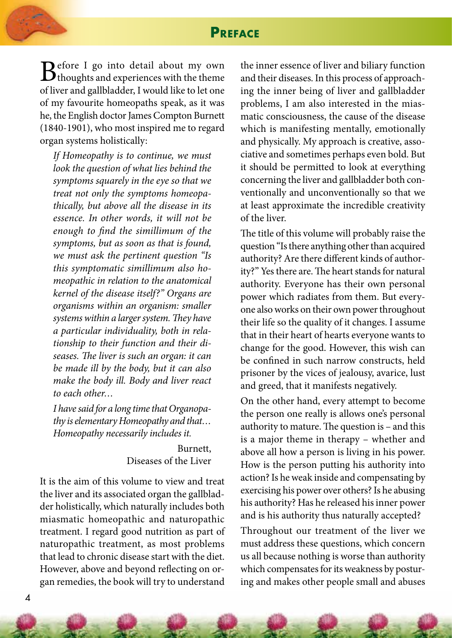### **Preface**

 $B^{\text{efore I go into detail about my own}}$ <br>  $f^{\text{limens I will be the number of times in the time}}$ of liver and gallbladder, I would like to let one of my favourite homeopaths speak, as it was he, the English doctor James Compton Burnett (1840-1901), who most inspired me to regard organ systems holistically:

*If Homeopathy is to continue, we must look the question of what lies behind the symptoms squarely in the eye so that we treat not only the symptoms homeopathically, but above all the disease in its essence. In other words, it will not be enough to find the simillimum of the symptoms, but as soon as that is found, we must ask the pertinent question "Is this symptomatic simillimum also homeopathic in relation to the anatomical kernel of the disease itself?" Organs are organisms within an organism: smaller systems within a larger system. They have a particular individuality, both in relationship to their function and their diseases. The liver is such an organ: it can be made ill by the body, but it can also make the body ill. Body and liver react to each other…*

*I have said for a long time that Organopathy is elementary Homeopathy and that… Homeopathy necessarily includes it.*

> Burnett, Diseases of the Liver

It is the aim of this volume to view and treat the liver and its associated organ the gallbladder holistically, which naturally includes both miasmatic homeopathic and naturopathic treatment. I regard good nutrition as part of naturopathic treatment, as most problems that lead to chronic disease start with the diet. However, above and beyond reflecting on organ remedies, the book will try to understand

the inner essence of liver and biliary function and their diseases. In this process of approaching the inner being of liver and gallbladder problems, I am also interested in the miasmatic consciousness, the cause of the disease which is manifesting mentally, emotionally and physically. My approach is creative, associative and sometimes perhaps even bold. But it should be permitted to look at everything concerning the liver and gallbladder both conventionally and unconventionally so that we at least approximate the incredible creativity of the liver.

The title of this volume will probably raise the question "Is there anything other than acquired authority? Are there different kinds of authority?" Yes there are. The heart stands for natural authority. Everyone has their own personal power which radiates from them. But everyone also works on their own power throughout their life so the quality of it changes. I assume that in their heart of hearts everyone wants to change for the good. However, this wish can be confined in such narrow constructs, held prisoner by the vices of jealousy, avarice, lust and greed, that it manifests negatively.

On the other hand, every attempt to become the person one really is allows one's personal authority to mature. The question is – and this is a major theme in therapy – whether and above all how a person is living in his power. How is the person putting his authority into action? Is he weak inside and compensating by exercising his power over others? Is he abusing his authority? Has he released his inner power and is his authority thus naturally accepted?

Throughout our treatment of the liver we must address these questions, which concern us all because nothing is worse than authority which compensates for its weakness by posturing and makes other people small and abuses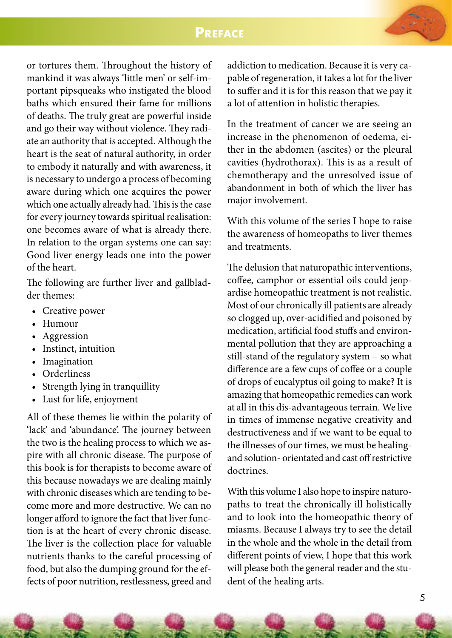



or tortures them. Throughout the history of mankind it was always 'little men' or self-important pipsqueaks who instigated the blood baths which ensured their fame for millions of deaths. The truly great are powerful inside and go their way without violence. They radiate an authority that is accepted. Although the heart is the seat of natural authority, in order to embody it naturally and with awareness, it is necessary to undergo a process of becoming aware during which one acquires the power which one actually already had. This is the case for every journey towards spiritual realisation: one becomes aware of what is already there. In relation to the organ systems one can say: Good liver energy leads one into the power of the heart.

The following are further liver and gallbladder themes:

- Creative power
- Humour
- Aggression
- Instinct, intuition
- Imagination
- Orderliness
- Strength lying in tranquillity
- Lust for life, enjoyment

All of these themes lie within the polarity of 'lack' and 'abundance'. The journey between the two is the healing process to which we aspire with all chronic disease. The purpose of this book is for therapists to become aware of this because nowadays we are dealing mainly with chronic diseases which are tending to become more and more destructive. We can no longer afford to ignore the fact that liver function is at the heart of every chronic disease. The liver is the collection place for valuable nutrients thanks to the careful processing of food, but also the dumping ground for the effects of poor nutrition, restlessness, greed and addiction to medication. Because it is very capable of regeneration, it takes a lot for the liver to suffer and it is for this reason that we pay it a lot of attention in holistic therapies.

In the treatment of cancer we are seeing an increase in the phenomenon of oedema, either in the abdomen (ascites) or the pleural cavities (hydrothorax). This is as a result of chemotherapy and the unresolved issue of abandonment in both of which the liver has major involvement.

With this volume of the series I hope to raise the awareness of homeopaths to liver themes and treatments.

The delusion that naturopathic interventions, coffee, camphor or essential oils could jeopardise homeopathic treatment is not realistic. Most of our chronically ill patients are already so clogged up, over-acidified and poisoned by medication, artificial food stuffs and environmental pollution that they are approaching a still-stand of the regulatory system – so what difference are a few cups of coffee or a couple of drops of eucalyptus oil going to make? It is amazing that homeopathic remedies can work at all in this dis-advantageous terrain. We live in times of immense negative creativity and destructiveness and if we want to be equal to the illnesses of our times, we must be healingand solution- orientated and cast off restrictive doctrines.

With this volume I also hope to inspire naturopaths to treat the chronically ill holistically and to look into the homeopathic theory of miasms. Because I always try to see the detail in the whole and the whole in the detail from different points of view, I hope that this work will please both the general reader and the student of the healing arts.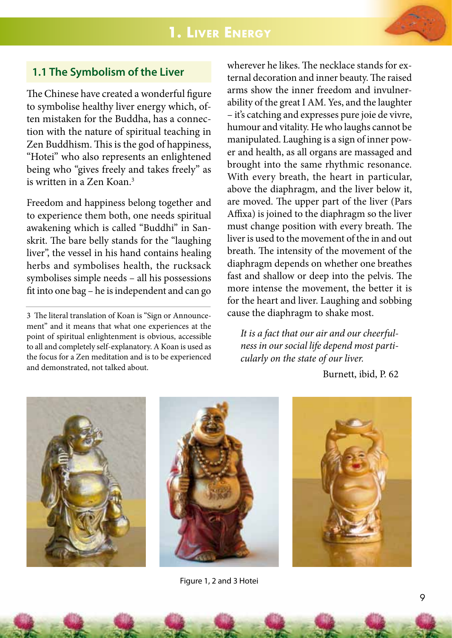

### **1.1 The Symbolism of the Liver**

The Chinese have created a wonderful figure to symbolise healthy liver energy which, often mistaken for the Buddha, has a connection with the nature of spiritual teaching in Zen Buddhism. This is the god of happiness, "Hotei" who also represents an enlightened being who "gives freely and takes freely" as is written in a Zen Koan.<sup>3</sup>

Freedom and happiness belong together and to experience them both, one needs spiritual awakening which is called "Buddhi" in Sanskrit. The bare belly stands for the "laughing liver", the vessel in his hand contains healing herbs and symbolises health, the rucksack symbolises simple needs – all his possessions fit into one bag – he is independent and can go

3 The literal translation of Koan is "Sign or Announcement" and it means that what one experiences at the point of spiritual enlightenment is obvious, accessible to all and completely self-explanatory. A Koan is used as the focus for a Zen meditation and is to be experienced and demonstrated, not talked about.

wherever he likes. The necklace stands for external decoration and inner beauty. The raised arms show the inner freedom and invulnerability of the great I AM. Yes, and the laughter – it's catching and expresses pure joie de vivre, humour and vitality. He who laughs cannot be manipulated. Laughing is a sign of inner power and health, as all organs are massaged and brought into the same rhythmic resonance. With every breath, the heart in particular, above the diaphragm, and the liver below it, are moved. The upper part of the liver (Pars Affixa) is joined to the diaphragm so the liver must change position with every breath. The liver is used to the movement of the in and out breath. The intensity of the movement of the diaphragm depends on whether one breathes fast and shallow or deep into the pelvis. The more intense the movement, the better it is for the heart and liver. Laughing and sobbing cause the diaphragm to shake most.

*It is a fact that our air and our cheerfulness in our social life depend most particularly on the state of our liver.*

Burnett, ibid, P. 62





Figure 1, 2 and 3 Hotei

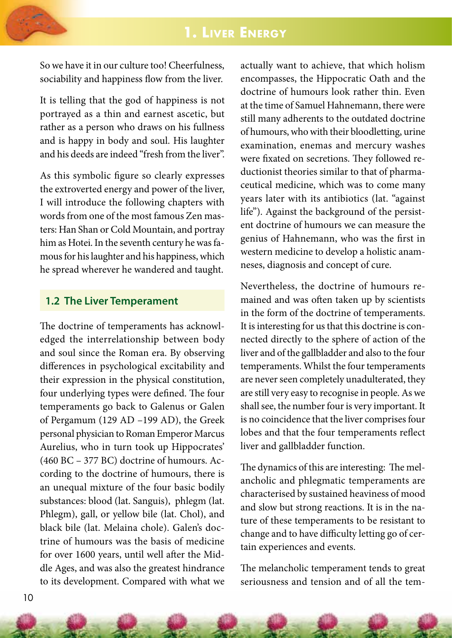## **1. Liver Energy**



So we have it in our culture too! Cheerfulness, sociability and happiness flow from the liver.

It is telling that the god of happiness is not portrayed as a thin and earnest ascetic, but rather as a person who draws on his fullness and is happy in body and soul. His laughter and his deeds are indeed "fresh from the liver".

As this symbolic figure so clearly expresses the extroverted energy and power of the liver, I will introduce the following chapters with words from one of the most famous Zen masters: Han Shan or Cold Mountain, and portray him as Hotei. In the seventh century he was famous for his laughter and his happiness, which he spread wherever he wandered and taught.

#### **1.2 The Liver Temperament**

The doctrine of temperaments has acknowledged the interrelationship between body and soul since the Roman era. By observing differences in psychological excitability and their expression in the physical constitution, four underlying types were defined. The four temperaments go back to Galenus or Galen of Pergamum (129 AD –199 AD), the Greek personal physician to Roman Emperor Marcus Aurelius, who in turn took up Hippocrates' (460 BC – 377 BC) doctrine of humours. According to the doctrine of humours, there is an unequal mixture of the four basic bodily substances: blood (lat. Sanguis), phlegm (lat. Phlegm), gall, or yellow bile (lat. Chol), and black bile (lat. Melaina chole). Galen's doctrine of humours was the basis of medicine for over 1600 years, until well after the Middle Ages, and was also the greatest hindrance to its development. Compared with what we

actually want to achieve, that which holism encompasses, the Hippocratic Oath and the doctrine of humours look rather thin. Even at the time of Samuel Hahnemann, there were still many adherents to the outdated doctrine of humours, who with their bloodletting, urine examination, enemas and mercury washes were fixated on secretions. They followed reductionist theories similar to that of pharmaceutical medicine, which was to come many years later with its antibiotics (lat. "against life"). Against the background of the persistent doctrine of humours we can measure the genius of Hahnemann, who was the first in western medicine to develop a holistic anamneses, diagnosis and concept of cure.

Nevertheless, the doctrine of humours remained and was often taken up by scientists in the form of the doctrine of temperaments. It is interesting for us that this doctrine is connected directly to the sphere of action of the liver and of the gallbladder and also to the four temperaments. Whilst the four temperaments are never seen completely unadulterated, they are still very easy to recognise in people. As we shall see, the number four is very important. It is no coincidence that the liver comprises four lobes and that the four temperaments reflect liver and gallbladder function.

The dynamics of this are interesting: The melancholic and phlegmatic temperaments are characterised by sustained heaviness of mood and slow but strong reactions. It is in the nature of these temperaments to be resistant to change and to have difficulty letting go of certain experiences and events.

The melancholic temperament tends to great seriousness and tension and of all the tem-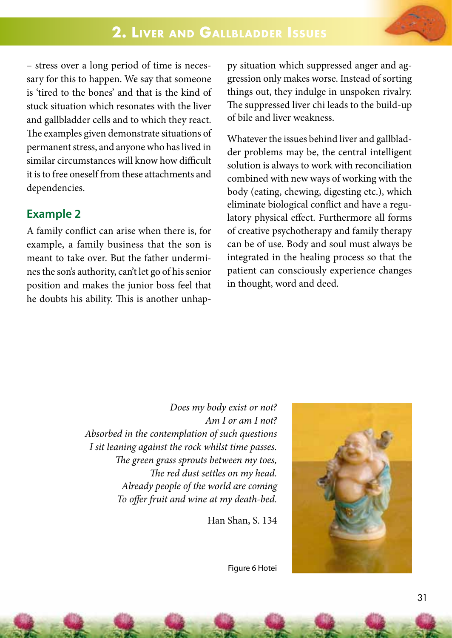

– stress over a long period of time is necessary for this to happen. We say that someone is 'tired to the bones' and that is the kind of stuck situation which resonates with the liver and gallbladder cells and to which they react. The examples given demonstrate situations of permanent stress, and anyone who has lived in similar circumstances will know how difficult it is to free oneself from these attachments and dependencies.

#### **Example 2**

A family conflict can arise when there is, for example, a family business that the son is meant to take over. But the father undermines the son's authority, can't let go of his senior position and makes the junior boss feel that he doubts his ability. This is another unhappy situation which suppressed anger and aggression only makes worse. Instead of sorting things out, they indulge in unspoken rivalry. The suppressed liver chi leads to the build-up of bile and liver weakness.

Whatever the issues behind liver and gallbladder problems may be, the central intelligent solution is always to work with reconciliation combined with new ways of working with the body (eating, chewing, digesting etc.), which eliminate biological conflict and have a regulatory physical effect. Furthermore all forms of creative psychotherapy and family therapy can be of use. Body and soul must always be integrated in the healing process so that the patient can consciously experience changes in thought, word and deed.

*Does my body exist or not? Am I or am I not? Absorbed in the contemplation of such questions I sit leaning against the rock whilst time passes. The green grass sprouts between my toes, The red dust settles on my head. Already people of the world are coming To offer fruit and wine at my death-bed.*

Han Shan, S. 134



Figure 6 Hotei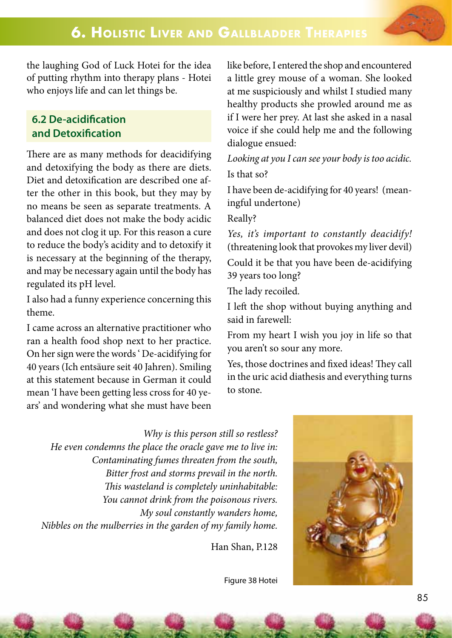the laughing God of Luck Hotei for the idea of putting rhythm into therapy plans - Hotei who enjoys life and can let things be.

#### **6.2 De-acidification and Detoxification**

There are as many methods for deacidifying and detoxifying the body as there are diets. Diet and detoxification are described one after the other in this book, but they may by no means be seen as separate treatments. A balanced diet does not make the body acidic and does not clog it up. For this reason a cure to reduce the body's acidity and to detoxify it is necessary at the beginning of the therapy, and may be necessary again until the body has regulated its pH level.

I also had a funny experience concerning this theme.

I came across an alternative practitioner who ran a health food shop next to her practice. On her sign were the words ' De-acidifying for 40 years (Ich entsäure seit 40 Jahren). Smiling at this statement because in German it could mean 'I have been getting less cross for 40 years' and wondering what she must have been

like before, I entered the shop and encountered a little grey mouse of a woman. She looked at me suspiciously and whilst I studied many healthy products she prowled around me as if I were her prey. At last she asked in a nasal voice if she could help me and the following dialogue ensued:

*Looking at you I can see your body is too acidic.* Is that so?

I have been de-acidifying for 40 years! (meaningful undertone)

Really?

*Yes, it's important to constantly deacidify!*  (threatening look that provokes my liver devil) Could it be that you have been de-acidifying 39 years too long?

The lady recoiled.

I left the shop without buying anything and said in farewell:

From my heart I wish you joy in life so that you aren't so sour any more.

Yes, those doctrines and fixed ideas! They call in the uric acid diathesis and everything turns to stone.

*Why is this person still so restless? He even condemns the place the oracle gave me to live in: Contaminating fumes threaten from the south, Bitter frost and storms prevail in the north. This wasteland is completely uninhabitable: You cannot drink from the poisonous rivers. My soul constantly wanders home, Nibbles on the mulberries in the garden of my family home.*

Han Shan, P.128



Figure 38 Hotei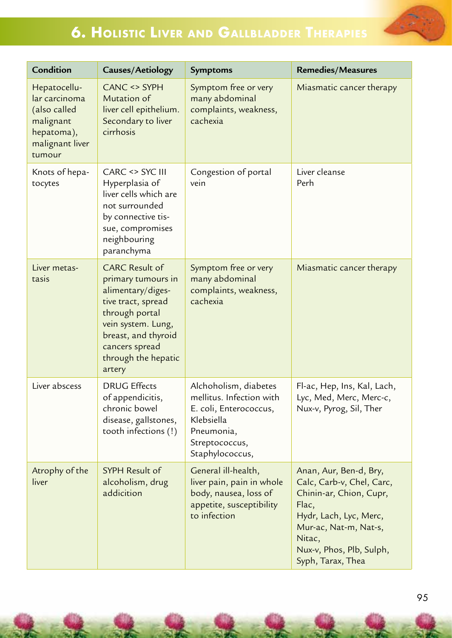

# **6. Holistic Liver and Gallbladder Therapies**

| Condition                                                                                             | Causes/Aetiology                                                                                                                                                                                         | Symptoms                                                                                                                                     | <b>Remedies/Measures</b>                                                                                                                                                                              |
|-------------------------------------------------------------------------------------------------------|----------------------------------------------------------------------------------------------------------------------------------------------------------------------------------------------------------|----------------------------------------------------------------------------------------------------------------------------------------------|-------------------------------------------------------------------------------------------------------------------------------------------------------------------------------------------------------|
| Hepatocellu-<br>lar carcinoma<br>(also called<br>malignant<br>hepatoma),<br>malignant liver<br>tumour | CANC <> SYPH<br>Mutation of<br>liver cell epithelium.<br>Secondary to liver<br>cirrhosis                                                                                                                 | Symptom free or very<br>many abdominal<br>complaints, weakness,<br>cachexia                                                                  | Miasmatic cancer therapy                                                                                                                                                                              |
| Knots of hepa-<br>tocytes                                                                             | CARC <> SYC III<br>Hyperplasia of<br>liver cells which are<br>not surrounded<br>by connective tis-<br>sue, compromises<br>neighbouring<br>paranchyma                                                     | Congestion of portal<br>vein                                                                                                                 | Liver cleanse<br>Perh                                                                                                                                                                                 |
| Liver metas-<br>tasis                                                                                 | <b>CARC Result of</b><br>primary tumours in<br>alimentary/diges-<br>tive tract, spread<br>through portal<br>vein system. Lung,<br>breast, and thyroid<br>cancers spread<br>through the hepatic<br>artery | Symptom free or very<br>many abdominal<br>complaints, weakness,<br>cachexia                                                                  | Miasmatic cancer therapy                                                                                                                                                                              |
| Liver abscess                                                                                         | <b>DRUG Effects</b><br>of appendicitis,<br>chronic bowel<br>disease, gallstones,<br>tooth infections (!)                                                                                                 | Alchoholism, diabetes<br>mellitus. Infection with<br>E. coli, Enterococcus,<br>Klebsiella<br>Pneumonia,<br>Streptococcus,<br>Staphylococcus, | Fl-ac, Hep, Ins, Kal, Lach,<br>Lyc, Med, Merc, Merc-c,<br>Nux-v, Pyrog, Sil, Ther                                                                                                                     |
| Atrophy of the<br>liver                                                                               | <b>SYPH Result of</b><br>alcoholism, drug<br>addicition                                                                                                                                                  | General ill-health,<br>liver pain, pain in whole<br>body, nausea, loss of<br>appetite, susceptibility<br>to infection                        | Anan, Aur, Ben-d, Bry,<br>Calc, Carb-v, Chel, Carc,<br>Chinin-ar, Chion, Cupr,<br>Flac,<br>Hydr, Lach, Lyc, Merc,<br>Mur-ac, Nat-m, Nat-s,<br>Nitac,<br>Nux-v, Phos, Plb, Sulph,<br>Syph, Tarax, Thea |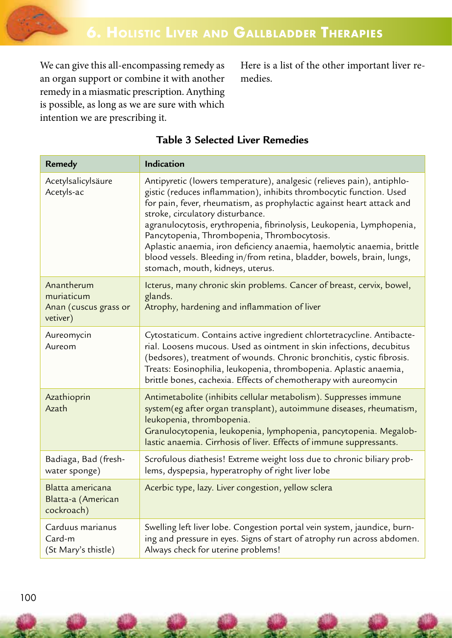

We can give this all-encompassing remedy as an organ support or combine it with another remedy in a miasmatic prescription. Anything is possible, as long as we are sure with which intention we are prescribing it.

Here is a list of the other important liver remedies.

| <b>Remedy</b>                                                 | Indication                                                                                                                                                                                                                                                                                                                                                                                                                                                                                                                                                                 |
|---------------------------------------------------------------|----------------------------------------------------------------------------------------------------------------------------------------------------------------------------------------------------------------------------------------------------------------------------------------------------------------------------------------------------------------------------------------------------------------------------------------------------------------------------------------------------------------------------------------------------------------------------|
| Acetylsalicylsäure<br>Acetyls-ac                              | Antipyretic (lowers temperature), analgesic (relieves pain), antiphlo-<br>gistic (reduces inflammation), inhibits thrombocytic function. Used<br>for pain, fever, rheumatism, as prophylactic against heart attack and<br>stroke, circulatory disturbance.<br>agranulocytosis, erythropenia, fibrinolysis, Leukopenia, Lymphopenia,<br>Pancytopenia, Thrombopenia, Thrombocytosis.<br>Aplastic anaemia, iron deficiency anaemia, haemolytic anaemia, brittle<br>blood vessels. Bleeding in/from retina, bladder, bowels, brain, lungs,<br>stomach, mouth, kidneys, uterus. |
| Anantherum<br>muriaticum<br>Anan (cuscus grass or<br>vetiver) | Icterus, many chronic skin problems. Cancer of breast, cervix, bowel,<br>glands.<br>Atrophy, hardening and inflammation of liver                                                                                                                                                                                                                                                                                                                                                                                                                                           |
| Aureomycin<br>Aureom                                          | Cytostaticum. Contains active ingredient chlortetracycline. Antibacte-<br>rial. Loosens mucous. Used as ointment in skin infections, decubitus<br>(bedsores), treatment of wounds. Chronic bronchitis, cystic fibrosis.<br>Treats: Eosinophilia, leukopenia, thrombopenia. Aplastic anaemia,<br>brittle bones, cachexia. Effects of chemotherapy with aureomycin                                                                                                                                                                                                           |
| Azathioprin<br>Azath                                          | Antimetabolite (inhibits cellular metabolism). Suppresses immune<br>system(eg after organ transplant), autoimmune diseases, rheumatism,<br>leukopenia, thrombopenia.<br>Granulocytopenia, leukopenia, lymphopenia, pancytopenia. Megalob-<br>lastic anaemia. Cirrhosis of liver. Effects of immune suppressants.                                                                                                                                                                                                                                                           |
| Badiaga, Bad (fresh-<br>water sponge)                         | Scrofulous diathesis! Extreme weight loss due to chronic biliary prob-<br>lems, dyspepsia, hyperatrophy of right liver lobe                                                                                                                                                                                                                                                                                                                                                                                                                                                |
| Blatta americana<br>Blatta-a (American<br>cockroach)          | Acerbic type, lazy. Liver congestion, yellow sclera                                                                                                                                                                                                                                                                                                                                                                                                                                                                                                                        |
| Carduus marianus<br>Card-m<br>(St Mary's thistle)             | Swelling left liver lobe. Congestion portal vein system, jaundice, burn-<br>ing and pressure in eyes. Signs of start of atrophy run across abdomen.<br>Always check for uterine problems!                                                                                                                                                                                                                                                                                                                                                                                  |

### **Table 3 Selected Liver Remedies**